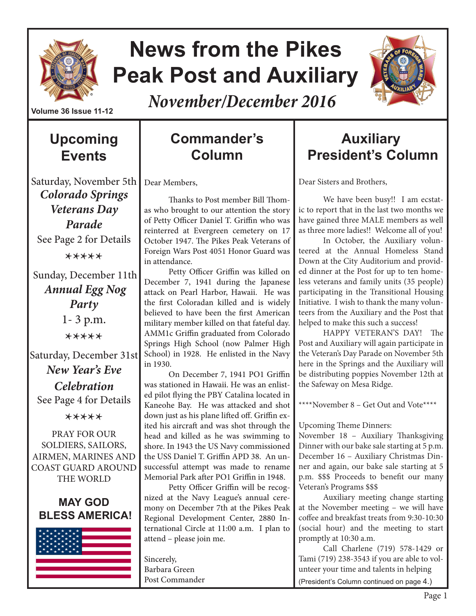

# **News from the Pikes Peak Post and Auxiliary**



*November/December 2016*

# **Upcoming Events**

### Saturday, November 5th *Colorado Springs Veterans Day Parade* See Page 2 for Details \*\*\*\*\*

 Sunday, December 11th *Annual Egg Nog Party* 1- 3 p.m. \*\*\*\*\*

Saturday, December 31st *New Year's Eve Celebration* See Page 4 for Details

\*\*\*\*\*

PRAY FOR OUR SOLDIERS, SAILORS, AIRMEN, MARINES AND COAST GUARD AROUND THE WORLD

#### **MAY GOD BLESS AMERICA!**



# **Commander's Column**

Dear Members,

Thanks to Post member Bill Thomas who brought to our attention the story of Petty Officer Daniel T. Griffin who was reinterred at Evergreen cemetery on 17 October 1947. The Pikes Peak Veterans of Foreign Wars Post 4051 Honor Guard was in attendance.

Petty Officer Griffin was killed on December 7, 1941 during the Japanese attack on Pearl Harbor, Hawaii. He was the first Coloradan killed and is widely believed to have been the first American military member killed on that fateful day. AMM1c Griffin graduated from Colorado Springs High School (now Palmer High School) in 1928. He enlisted in the Navy in 1930.

On December 7, 1941 PO1 Griffin was stationed in Hawaii. He was an enlisted pilot flying the PBY Catalina located in Kaneohe Bay. He was attacked and shot down just as his plane lifted off. Griffin exited his aircraft and was shot through the head and killed as he was swimming to shore. In 1943 the US Navy commissioned the USS Daniel T. Griffin APD 38. An unsuccessful attempt was made to rename Memorial Park after PO1 Griffin in 1948.

Petty Officer Griffin will be recognized at the Navy League's annual ceremony on December 7th at the Pikes Peak Regional Development Center, 2880 International Circle at 11:00 a.m. I plan to attend – please join me.

Sincerely, Barbara Green Post Commander

# **Auxiliary President's Column**

Dear Sisters and Brothers,

We have been busy!! I am ecstatic to report that in the last two months we have gained three MALE members as well as three more ladies!! Welcome all of you!

In October, the Auxiliary volunteered at the Annual Homeless Stand Down at the City Auditorium and provided dinner at the Post for up to ten homeless veterans and family units (35 people) participating in the Transitional Housing Initiative. I wish to thank the many volunteers from the Auxiliary and the Post that helped to make this such a success!

HAPPY VETERAN'S DAY! The Post and Auxiliary will again participate in the Veteran's Day Parade on November 5th here in the Springs and the Auxiliary will be distributing poppies November 12th at the Safeway on Mesa Ridge.

\*\*\*\*November 8 – Get Out and Vote\*\*\*\*

Upcoming Theme Dinners:

November 18 – Auxiliary Thanksgiving Dinner with our bake sale starting at 5 p.m. December 16 – Auxiliary Christmas Dinner and again, our bake sale starting at 5 p.m. \$\$\$ Proceeds to benefit our many Veteran's Programs \$\$\$

Auxiliary meeting change starting at the November meeting – we will have coffee and breakfast treats from 9:30-10:30 (social hour) and the meeting to start promptly at 10:30 a.m.

Call Charlene (719) 578-1429 or Tami (719) 238-3543 if you are able to volunteer your time and talents in helping (President's Column continued on page 4.)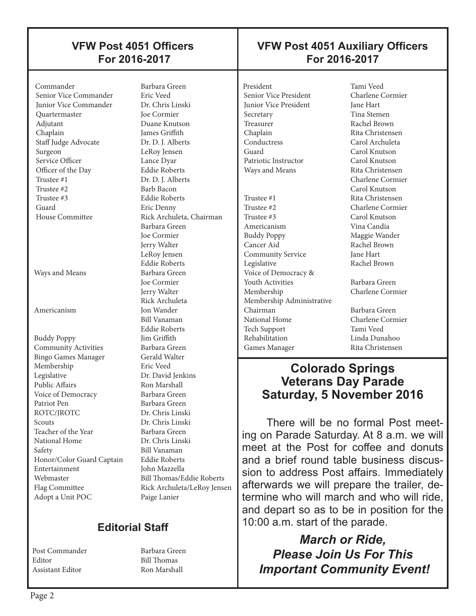### **VFW Post 4051 Officers For 2016-2017**

#### Commander Barbara Green Senior Vice Commander Junior Vice Commander Dr. Chris Linski Quartermaster Joe Cormier Adjutant Duane Knutson Chaplain James Griffith Staff Judge Advocate Dr. D. J. Alberts Surgeon LeRoy Jensen Service Officer Lance Dyar Officer of the Day Eddie Roberts<br>
Trustee #1 Dr. D. I. Albert Trustee #1 Dr. D. J. Alberts<br>Trustee #2 Barb Bacon Trustee #3 Eddie Roberts Guard Eric Denny

 $\overline{\phantom{a}}$ 

Ways and Means Barbara Green

Americanism Jon Wander

Buddy Poppy **Community Activities** Barbara Green<br>Bingo Games Manager Gerald Walter Bingo Games Manager Membership Eric Veed Legislative Dr. David Jenkins Public Affairs Ron Marshall Voice of Democracy Barbara Green Patriot Pen Barbara Green ROTC/JROTC Dr. Chris Linski<br>Scouts Dr. Chris Linski Teacher of the Year Barbara Green<br>
National Home Dr. Chris Linski National Home Safety Bill Vanaman Honor/Color Guard Captain Eddie Roberts Entertainment John Mazzella Webmaster Bill Thomas/Eddie Roberts Flag Committee Rick Archuleta/LeRoy Jensen Adopt a Unit POC Paige Lanier

Barb Bacon House Committee Rick Archuleta, Chairman Barbara Green Joe Cormier Jerry Walter LeRoy Jensen Eddie Roberts Joe Cormier Jerry Walter Rick Archuleta Bill Vanaman Eddie Roberts Dr. Chris Linski

## **Editorial Staff**

Post Commander Barbara Green Editor Bill Thomas Assistant Editor Ron Marshall

### **VFW Post 4051 Auxiliary Officers For 2016-2017**

President Tami Veed<br>
Senior Vice President Charlene Cormier Senior Vice President Junior Vice President Jane Hart Secretary Tina Stemen Treasurer Rachel Brown<br>
Chaplain Rita Christens Conductress Carol Archuleta Guard Carol Knutson Patriotic Instructor Carol Knutson Ways and Means Rita Christensen Trustee #1 Rita Christensen Trustee #2 Charlene Cormier Trustee #3 Carol Knutson Americanism Vina Candia Buddy Poppy Maggie Wander Community Service Voice of Democracy &

 $\overline{\phantom{a}}$ 

 Cancer Aid Rachel Brown Legislative Rachel Brown **Youth Activities** Barbara Green Membership Charlene Cormier Membership Administrative Chairman Barbara Green National Home Charlene Cormier Tech Support Tami Veed Rehabilitation Linda Dunahoo Games Manager Rita Christensen

Rita Christensen Charlene Cormier Carol Knutson

### **Colorado Springs Veterans Day Parade Saturday, 5 November 2016**

There will be no formal Post meeting on Parade Saturday. At 8 a.m. we will meet at the Post for coffee and donuts and a brief round table business discussion to address Post affairs. Immediately afterwards we will prepare the trailer, determine who will march and who will ride, and depart so as to be in position for the 10:00 a.m. start of the parade.

*March or Ride, Please Join Us For This Important Community Event!*

 $\overline{\phantom{a}}$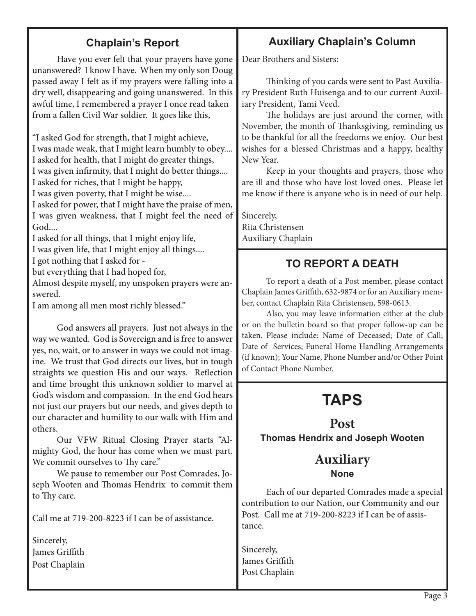### **Chaplain's Report**

Have you ever felt that your prayers have gone unanswered? I know I have. When my only son Doug passed away I felt as if my prayers were falling into a dry well, disappearing and going unanswered. In this awful time, I remembered a prayer I once read taken from a fallen Civil War soldier. It goes like this,

"I asked God for strength, that I might achieve, I was made weak, that I might learn humbly to obey.... I asked for health, that I might do greater things, I was given infirmity, that I might do better things....

I asked for riches, that I might be happy,

I was given poverty, that I might be wise....

I asked for power, that I might have the praise of men, I was given weakness, that I might feel the need of God....

I asked for all things, that I might enjoy life, I was given life, that I might enjoy all things....

I got nothing that I asked for -

but everything that I had hoped for,

Almost despite myself, my unspoken prayers were answered.

I am among all men most richly blessed."

God answers all prayers. Just not always in the way we wanted. God is Sovereign and is free to answer yes, no, wait, or to answer in ways we could not imagine. We trust that God directs our lives, but in tough straights we question His and our ways. Reflection and time brought this unknown soldier to marvel at God's wisdom and compassion. In the end God hears not just our prayers but our needs, and gives depth to our character and humility to our walk with Him and others.

Our VFW Ritual Closing Prayer starts "Almighty God, the hour has come when we must part. We commit ourselves to Thy care."

We pause to remember our Post Comrades, Joseph Wooten and Thomas Hendrix to commit them to Thy care.

Call me at 719-200-8223 if I can be of assistance.

Sincerely, James Griffith Post Chaplain

### **Auxiliary Chaplain's Column**

Dear Brothers and Sisters:

Thinking of you cards were sent to Past Auxiliary President Ruth Huisenga and to our current Auxiliary President, Tami Veed.

The holidays are just around the corner, with November, the month of Thanksgiving, reminding us to be thankful for all the freedoms we enjoy. Our best wishes for a blessed Christmas and a happy, healthy New Year.

Keep in your thoughts and prayers, those who are ill and those who have lost loved ones. Please let me know if there is anyone who is in need of our help.

Sincerely, Rita Christensen Auxiliary Chaplain

### **TO REPORT A DEATH**

To report a death of a Post member, please contact Chaplain James Griffith, 632-9874 or for an Auxiliary member, contact Chaplain Rita Christensen, 598-0613.

Also, you may leave information either at the club or on the bulletin board so that proper follow-up can be taken. Please include: Name of Deceased; Date of Call; Date of Services; Funeral Home Handling Arrangements (if known); Your Name, Phone Number and/or Other Point of Contact Phone Number.

# **TAPS**

**Post Thomas Hendrix and Joseph Wooten** 

### **Auxiliary None**

Each of our departed Comrades made a special contribution to our Nation, our Community and our Post. Call me at 719-200-8223 if I can be of assistance.

Sincerely, James Griffith Post Chaplain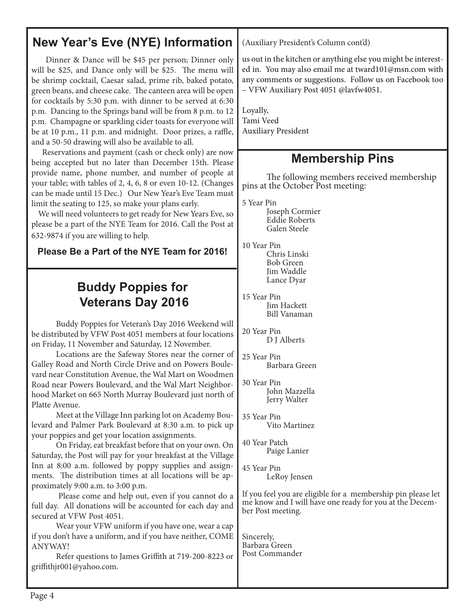# **New Year's Eve (NYE) Information**

 Dinner & Dance will be \$45 per person; Dinner only will be \$25, and Dance only will be \$25. The menu will be shrimp cocktail, Caesar salad, prime rib, baked potato, green beans, and cheese cake. The canteen area will be open for cocktails by 5:30 p.m. with dinner to be served at 6:30 p.m. Dancing to the Springs band will be from 8 p.m. to 12 p.m. Champagne or sparkling cider toasts for everyone will be at 10 p.m., 11 p.m. and midnight. Door prizes, a raffle, and a 50-50 drawing will also be available to all.

 Reservations and payment (cash or check only) are now being accepted but no later than December 15th. Please provide name, phone number, and number of people at your table; with tables of 2, 4, 6, 8 or even 10-12. (Changes can be made until 15 Dec.) Our New Year's Eve Team must limit the seating to 125, so make your plans early.

 We will need volunteers to get ready for New Years Eve, so please be a part of the NYE Team for 2016. Call the Post at 632-9874 if you are willing to help.

**Please Be a Part of the NYE Team for 2016!**

# **Buddy Poppies for Veterans Day 2016**

Buddy Poppies for Veteran's Day 2016 Weekend will be distributed by VFW Post 4051 members at four locations on Friday, 11 November and Saturday, 12 November.

Locations are the Safeway Stores near the corner of Galley Road and North Circle Drive and on Powers Boulevard near Constitution Avenue, the Wal Mart on Woodmen Road near Powers Boulevard, and the Wal Mart Neighborhood Market on 665 North Murray Boulevard just north of Platte Avenue.

Meet at the Village Inn parking lot on Academy Boulevard and Palmer Park Boulevard at 8:30 a.m. to pick up your poppies and get your location assignments.

On Friday, eat breakfast before that on your own. On Saturday, the Post will pay for your breakfast at the Village Inn at 8:00 a.m. followed by poppy supplies and assignments. The distribution times at all locations will be approximately 9:00 a.m. to 3:00 p.m.

 Please come and help out, even if you cannot do a full day. All donations will be accounted for each day and secured at VFW Post 4051.

Wear your VFW uniform if you have one, wear a cap if you don't have a uniform, and if you have neither, COME ANYWAY!

Refer questions to James Griffith at 719-200-8223 or griffithjr001@yahoo.com.

(Auxiliary President's Column cont'd)

us out in the kitchen or anything else you might be interested in. You may also email me at tward101@msn.com with any comments or suggestions. Follow us on Facebook too – VFW Auxiliary Post 4051 @lavfw4051.

Loyally, Tami Veed Auxiliary President

# **Membership Pins**

The following members received membership pins at the October Post meeting:

5 Year Pin

Joseph Cormier Eddie Roberts Galen Steele

10 Year Pin Chris Linski Bob Green Jim Waddle Lance Dyar

15 Year Pin Jim Hackett Bill Vanaman

20 Year Pin D I Alberts

25 Year Pin Barbara Green

30 Year Pin John Mazzella Jerry Walter

35 Year Pin Vito Martinez

40 Year Patch Paige Lanier

45 Year Pin LeRoy Jensen

If you feel you are eligible for a membership pin please let me know and I will have one ready for you at the Decem- ber Post meeting.

Sincerely, Barbara Green Post Commander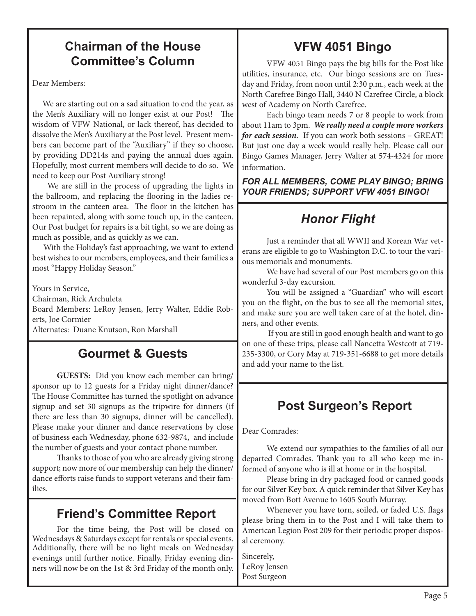## **Chairman of the House Committee's Column**

Dear Members:

 We are starting out on a sad situation to end the year, as the Men's Auxiliary will no longer exist at our Post! The wisdom of VFW National, or lack thereof, has decided to dissolve the Men's Auxiliary at the Post level. Present members can become part of the "Auxiliary" if they so choose, by providing DD214s and paying the annual dues again. Hopefully, most current members will decide to do so. We need to keep our Post Auxiliary strong!

 We are still in the process of upgrading the lights in the ballroom, and replacing the flooring in the ladies restroom in the canteen area. The floor in the kitchen has been repainted, along with some touch up, in the canteen. Our Post budget for repairs is a bit tight, so we are doing as much as possible, and as quickly as we can.

 With the Holiday's fast approaching, we want to extend best wishes to our members, employees, and their families a most "Happy Holiday Season."

Yours in Service,

Chairman, Rick Archuleta

Board Members: LeRoy Jensen, Jerry Walter, Eddie Roberts, Joe Cormier

Alternates: Duane Knutson, Ron Marshall

### **Gourmet & Guests**

**GUESTS:** Did you know each member can bring/ sponsor up to 12 guests for a Friday night dinner/dance? The House Committee has turned the spotlight on advance signup and set 30 signups as the tripwire for dinners (if there are less than 30 signups, dinner will be cancelled). Please make your dinner and dance reservations by close of business each Wednesday, phone 632-9874, and include the number of guests and your contact phone number.

Thanks to those of you who are already giving strong support; now more of our membership can help the dinner/ dance efforts raise funds to support veterans and their families.

### **Friend's Committee Report**

For the time being, the Post will be closed on Wednesdays & Saturdays except for rentals or special events. Additionally, there will be no light meals on Wednesday evenings until further notice. Finally, Friday evening dinners will now be on the 1st & 3rd Friday of the month only.

# **VFW 4051 Bingo**

VFW 4051 Bingo pays the big bills for the Post like utilities, insurance, etc. Our bingo sessions are on Tuesday and Friday, from noon until 2:30 p.m., each week at the North Carefree Bingo Hall, 3440 N Carefree Circle, a block west of Academy on North Carefree.

Each bingo team needs 7 or 8 people to work from about 11am to 3pm. *We really need a couple more workers for each session.* If you can work both sessions – GREAT! But just one day a week would really help. Please call our Bingo Games Manager, Jerry Walter at 574-4324 for more information.

*FOR ALL MEMBERS, COME PLAY BINGO; BRING YOUR FRIENDS; SUPPORT VFW 4051 BINGO!*

# *Honor Flight*

Just a reminder that all WWII and Korean War veterans are eligible to go to Washington D.C. to tour the various memorials and monuments.

We have had several of our Post members go on this wonderful 3-day excursion.

You will be assigned a "Guardian" who will escort you on the flight, on the bus to see all the memorial sites, and make sure you are well taken care of at the hotel, dinners, and other events.

 If you are still in good enough health and want to go on one of these trips, please call Nancetta Westcott at 719- 235-3300, or Cory May at 719-351-6688 to get more details and add your name to the list.

## **Post Surgeon's Report**

Dear Comrades:

We extend our sympathies to the families of all our departed Comrades. Thank you to all who keep me informed of anyone who is ill at home or in the hospital.

Please bring in dry packaged food or canned goods for our Silver Key box. A quick reminder that Silver Key has moved from Bott Avenue to 1605 South Murray.

Whenever you have torn, soiled, or faded U.S. flags please bring them in to the Post and I will take them to American Legion Post 209 for their periodic proper disposal ceremony.

Sincerely, LeRoy Jensen Post Surgeon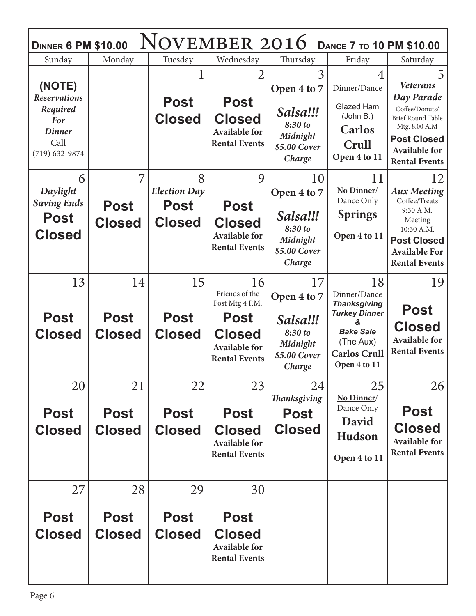| <b>NOVEMBER 2016</b><br><b>DANCE 7 TO 10 PM \$10.00</b><br><b>DINNER 6 PM \$10.00</b>                  |                                    |                                                          |                                                                                                                         |                                                                                |                                                                                                                                                 |                                                                                                                                                                         |  |
|--------------------------------------------------------------------------------------------------------|------------------------------------|----------------------------------------------------------|-------------------------------------------------------------------------------------------------------------------------|--------------------------------------------------------------------------------|-------------------------------------------------------------------------------------------------------------------------------------------------|-------------------------------------------------------------------------------------------------------------------------------------------------------------------------|--|
| Sunday                                                                                                 | Monday                             | Tuesday                                                  | Wednesday                                                                                                               | Thursday                                                                       | Friday                                                                                                                                          | Saturday                                                                                                                                                                |  |
| (NOTE)<br><b>Reservations</b><br>Required<br><b>For</b><br><b>Dinner</b><br>Call<br>$(719) 632 - 9874$ |                                    | <b>Post</b><br><b>Closed</b>                             | $\overline{2}$<br><b>Post</b><br><b>Closed</b><br><b>Available for</b><br><b>Rental Events</b>                          | 3<br>Open 4 to 7<br>Salsa!!!<br>8:30 to<br>Midnight<br>\$5.00 Cover<br>Charge  | 4<br>Dinner/Dance<br>Glazed Ham<br>(John B.)<br><b>Carlos</b><br>Crull<br>Open 4 to 11                                                          | 5<br><b>Veterans</b><br>Day Parade<br>Coffee/Donuts/<br><b>Brief Round Table</b><br>Mtg. 8:00 A.M<br><b>Post Closed</b><br><b>Available for</b><br><b>Rental Events</b> |  |
| 6<br>Daylight<br><b>Saving Ends</b><br><b>Post</b><br><b>Closed</b>                                    | 7<br><b>Post</b><br><b>Closed</b>  | 8<br><b>Election Day</b><br><b>Post</b><br><b>Closed</b> | 9<br><b>Post</b><br><b>Closed</b><br><b>Available for</b><br><b>Rental Events</b>                                       | 10<br>Open 4 to 7<br>Salsa!!!<br>8:30 to<br>Midnight<br>\$5.00 Cover<br>Charge | 11<br>No Dinner/<br>Dance Only<br><b>Springs</b><br>Open 4 to 11                                                                                | 12<br><b>Aux Meeting</b><br>Coffee/Treats<br>9:30 A.M.<br>Meeting<br>10:30 A.M.<br><b>Post Closed</b><br><b>Available For</b><br><b>Rental Events</b>                   |  |
| 13<br><b>Post</b><br><b>Closed</b>                                                                     | 14<br><b>Post</b><br><b>Closed</b> | 15<br><b>Post</b><br><b>Closed</b>                       | 16<br>Friends of the<br>Post Mtg 4 P.M.<br><b>Post</b><br><b>Closed</b><br><b>Available for</b><br><b>Rental Events</b> | 17<br>Open 4 to 7<br>Salsa!!!<br>8:30 to<br>Midnight<br>\$5.00 Cover<br>Charge | 18<br>Dinner/Dance<br><b>Thanksgiving</b><br><b>Turkey Dinner</b><br>х.<br><b>Bake Sale</b><br>(The Aux)<br><b>Carlos Crull</b><br>Open 4 to 11 | 19<br><b>Post</b><br><b>Closed</b><br><b>Available for</b><br><b>Rental Events</b>                                                                                      |  |
| 20<br><b>Post</b><br><b>Closed</b>                                                                     | 21<br><b>Post</b><br><b>Closed</b> | 22<br><b>Post</b><br><b>Closed</b>                       | 23<br><b>Post</b><br><b>Closed</b><br><b>Available for</b><br><b>Rental Events</b>                                      | 24<br><b>Thanksgiving</b><br>Post<br><b>Closed</b>                             | 25<br>No Dinner/<br>Dance Only<br>David<br>Hudson<br>Open 4 to 11                                                                               | 26<br><b>Post</b><br><b>Closed</b><br><b>Available for</b><br><b>Rental Events</b>                                                                                      |  |
| 27<br><b>Post</b><br><b>Closed</b>                                                                     | 28<br><b>Post</b><br><b>Closed</b> | 29<br><b>Post</b><br><b>Closed</b>                       | 30<br><b>Post</b><br><b>Closed</b><br><b>Available for</b><br><b>Rental Events</b>                                      |                                                                                |                                                                                                                                                 |                                                                                                                                                                         |  |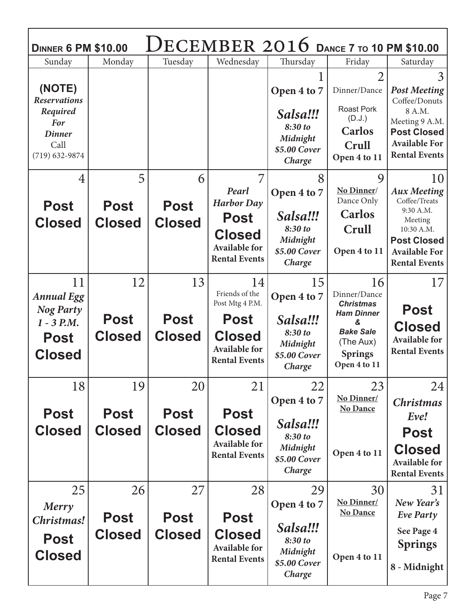| Saturday<br>3<br><b>Post Meeting</b><br>Coffee/Donuts<br>8 A.M.<br>Meeting 9 A.M.<br><b>Post Closed</b><br><b>Available For</b><br><b>Rental Events</b><br>10 |
|---------------------------------------------------------------------------------------------------------------------------------------------------------------|
|                                                                                                                                                               |
|                                                                                                                                                               |
|                                                                                                                                                               |
| <b>Aux Meeting</b><br>Coffee/Treats<br>9:30 A.M.<br>Meeting<br>10:30 A.M.                                                                                     |
| <b>Post Closed</b><br><b>Available For</b><br><b>Rental Events</b>                                                                                            |
| 17                                                                                                                                                            |
| <b>Post</b>                                                                                                                                                   |
| <b>Closed</b><br><b>Available for</b><br><b>Rental Events</b>                                                                                                 |
| 24                                                                                                                                                            |
| <b>Christmas</b><br>Eve!                                                                                                                                      |
| <b>Post</b>                                                                                                                                                   |
| <b>Closed</b><br><b>Available for</b><br><b>Rental Events</b>                                                                                                 |
| 31<br>New Year's<br><b>Eve Party</b><br>See Page 4<br><b>Springs</b><br>8 - Midnight                                                                          |
|                                                                                                                                                               |